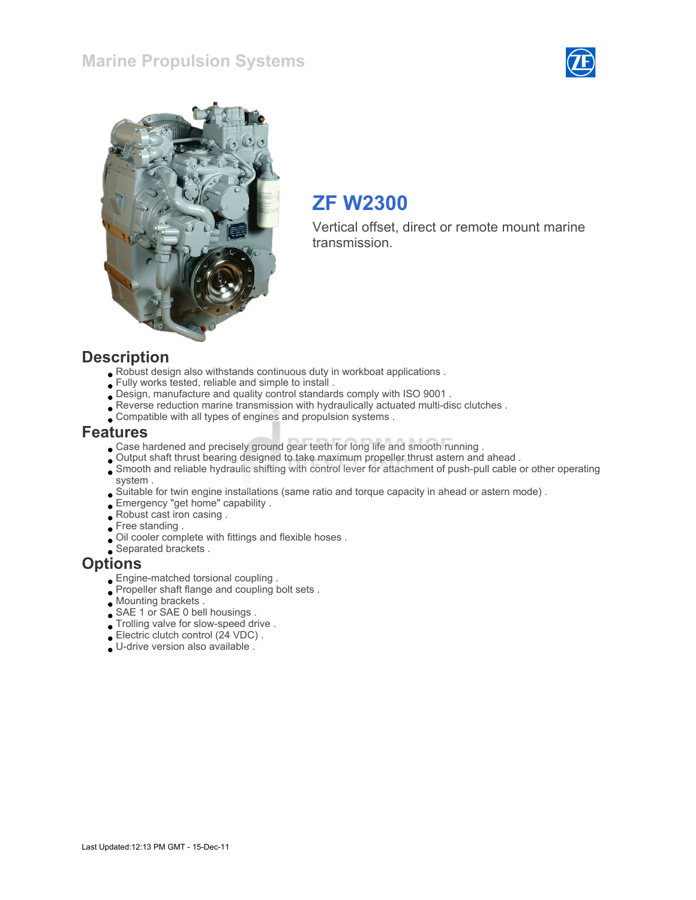## Marine Propulsion Systems





## ZF W2300

Vertical offset, direct or remote mount marine transmission.

#### **Description**

- Robust design also withstands continuous duty in workboat applications .
- Fully works tested, reliable and simple to install .
- Design, manufacture and quality control standards comply with ISO 9001 .
- Reverse reduction marine transmission with hydraulically actuated multi-disc clutches .
- Compatible with all types of engines and propulsion systems .

#### Features

- Case hardened and precisely ground gear teeth for long life and smooth running .
- Output shaft thrust bearing designed to take maximum propeller thrust astern and ahead .
- Smooth and reliable hydraulic shifting with control lever for attachment of push-pull cable or other operating system .
- Suitable for twin engine installations (same ratio and torque capacity in ahead or astern mode) .
- Emergency "get home" capability .
- Robust cast iron casing .
- Free standing.
- Oil cooler complete with fittings and flexible hoses .
- Separated brackets .

#### **Options**

- Engine-matched torsional coupling .
- Propeller shaft flange and coupling bolt sets .
- Mounting brackets .
- SAE 1 or SAE 0 bell housings .
- $\bullet$  Trolling valve for slow-speed drive .
- Electric clutch control (24 VDC) .
- U-drive version also available .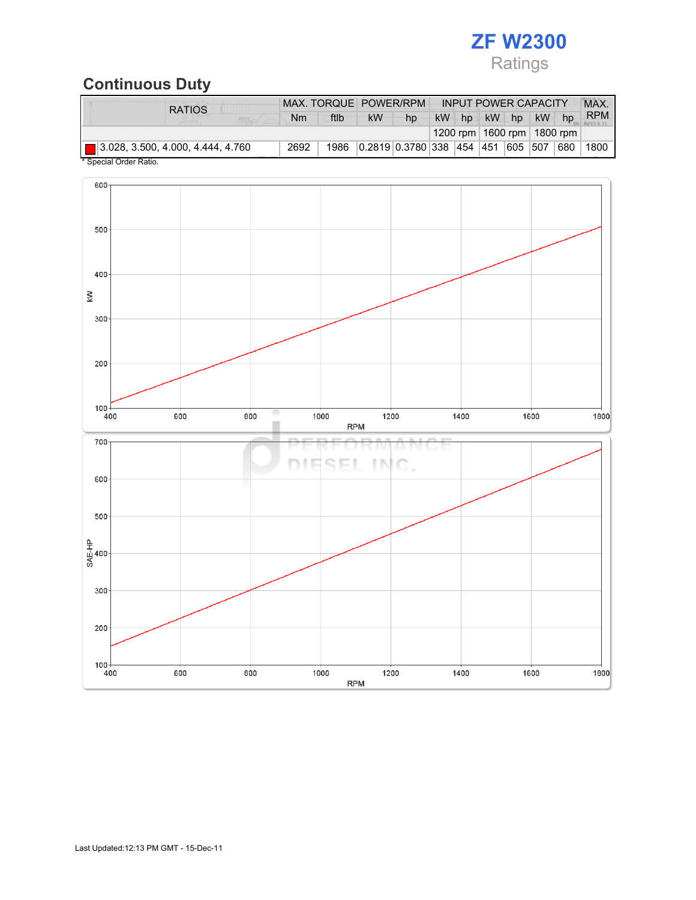

## Continuous Duty

| <b>RATIOS</b>                                 |      |      | MAX. TORQUE POWER/RPM |                                   |           |    |    | <b>INPUT POWER CAPACITY</b> |                                |     | <b>MAX</b> |
|-----------------------------------------------|------|------|-----------------------|-----------------------------------|-----------|----|----|-----------------------------|--------------------------------|-----|------------|
|                                               | Nm   | ftlb | <b>kW</b>             | hp                                | <b>kW</b> | hp | kW | hp                          | <b>kW</b>                      | hp  | <b>RPM</b> |
|                                               |      |      |                       |                                   |           |    |    |                             | 1200 rpm   1600 rpm   1800 rpm |     |            |
| $\boxed{ }$ 3.028, 3.500, 4.000, 4.444, 4.760 | 2692 | 1986 |                       | 0.2819 0.3780 338 454 451 605 507 |           |    |    |                             |                                | 680 | 1800       |
| * Concial Order Patio                         |      |      |                       |                                   |           |    |    |                             |                                |     |            |

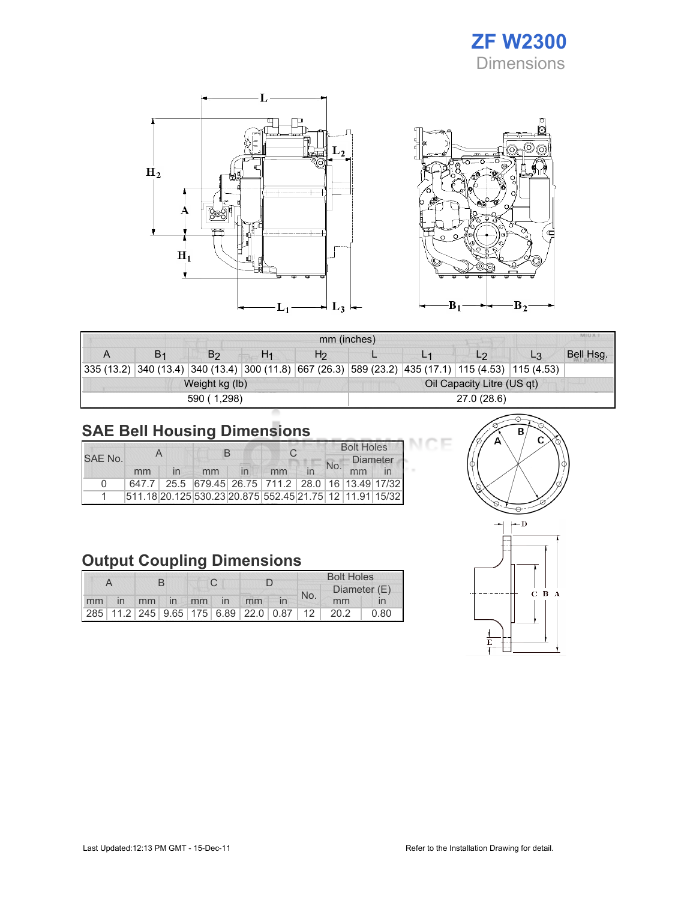

⊂



|   |                |                |                | mm (inches)                                                                                        |             |  |                            |       |           |  |
|---|----------------|----------------|----------------|----------------------------------------------------------------------------------------------------|-------------|--|----------------------------|-------|-----------|--|
| A | B <sub>1</sub> | B <sub>2</sub> | H <sub>1</sub> | H <sub>2</sub>                                                                                     |             |  | L <sub>2</sub>             | $L_3$ | Bell Hsg. |  |
|   |                |                |                | 335 (13.2) 340 (13.4) 340 (13.4) 300 (11.8) 667 (26.3) 589 (23.2) 435 (17.1) 115 (4.53) 115 (4.53) |             |  |                            |       |           |  |
|   |                | Weight kg (lb) |                |                                                                                                    |             |  | Oil Capacity Litre (US qt) |       |           |  |
|   |                | 590 (1,298)    |                |                                                                                                    | 27.0 (28.6) |  |                            |       |           |  |

# SAE Bell Housing Dimensions

| SAE No. |                                                         |  |    | R                                                 |    |  | <b>Bolt Holes</b><br><b>Diameter</b> |  |
|---------|---------------------------------------------------------|--|----|---------------------------------------------------|----|--|--------------------------------------|--|
|         | mm                                                      |  | mm |                                                   | mm |  | mm                                   |  |
| 0       |                                                         |  |    | 647.7 25.5 679.45 26.75 711.2 28.0 16 13.49 17/32 |    |  |                                      |  |
|         | 511.18 20.125 530.23 20.875 552.45 21.75 12 11.91 15/32 |  |    |                                                   |    |  |                                      |  |

## Output Coupling Dimensions

|  |  |  |  |  |  |                      | <b>Bolt Holes</b> |     |                                              |      |
|--|--|--|--|--|--|----------------------|-------------------|-----|----------------------------------------------|------|
|  |  |  |  |  |  |                      |                   | No. | Diameter (E)                                 |      |
|  |  |  |  |  |  | mm in mm in mm in mm |                   |     | mm                                           |      |
|  |  |  |  |  |  |                      |                   |     | 285 11.2 245 9.65 175 6.89 22.0 0.87 12 20.2 | 0.80 |